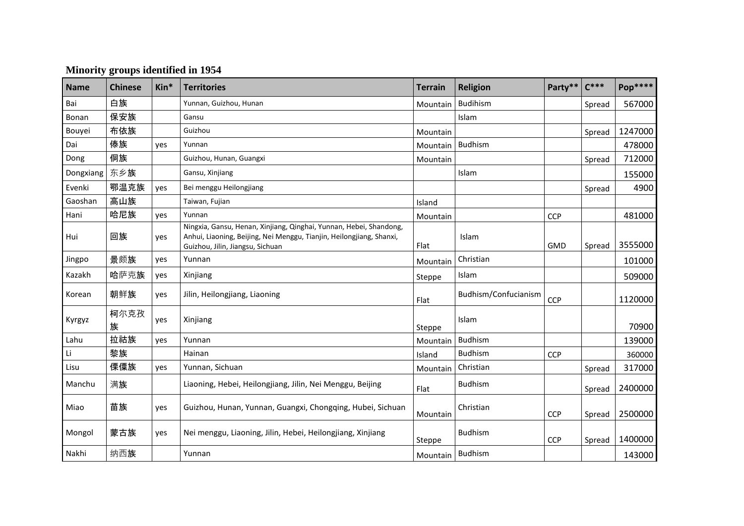| <b>Name</b> | <b>Chinese</b> | Kin* | <b>Territories</b>                                                                                                                                                             | <b>Terrain</b>     | <b>Religion</b>      | Party**    | $C***$ | <b>Pop****</b> |
|-------------|----------------|------|--------------------------------------------------------------------------------------------------------------------------------------------------------------------------------|--------------------|----------------------|------------|--------|----------------|
| Bai         | 白族             |      | Yunnan, Guizhou, Hunan                                                                                                                                                         | Mountain           | <b>Budihism</b>      |            | Spread | 567000         |
| Bonan       | 保安族            |      | Gansu                                                                                                                                                                          |                    | Islam                |            |        |                |
| Bouyei      | 布依族            |      | Guizhou                                                                                                                                                                        | Mountain           |                      |            | Spread | 1247000        |
| Dai         | 傣族             | yes  | Yunnan                                                                                                                                                                         | Mountain           | <b>Budhism</b>       |            |        | 478000         |
| Dong        | 侗族             |      | Guizhou, Hunan, Guangxi                                                                                                                                                        | Mountain           |                      |            | Spread | 712000         |
| Dongxiang   | 东乡族            |      | Gansu, Xinjiang                                                                                                                                                                |                    | Islam                |            |        | 155000         |
| Evenki      | 鄂温克族           | yes  | Bei menggu Heilongjiang                                                                                                                                                        |                    |                      |            | Spread | 4900           |
| Gaoshan     | 高山族            |      | Taiwan, Fujian                                                                                                                                                                 | Island             |                      |            |        |                |
| Hani        | 哈尼族            | ves  | Yunnan                                                                                                                                                                         | Mountain           |                      | CCP        |        | 481000         |
| Hui         | 回族             | yes  | Ningxia, Gansu, Henan, Xinjiang, Qinghai, Yunnan, Hebei, Shandong,<br>Anhui, Liaoning, Beijing, Nei Menggu, Tianjin, Heilongjiang, Shanxi,<br>Guizhou, Jilin, Jiangsu, Sichuan | Flat               | Islam                | <b>GMD</b> | Spread | 3555000        |
| Jingpo      | 景颇族            | yes  | Yunnan                                                                                                                                                                         | Mountain           | Christian            |            |        | 101000         |
| Kazakh      | 哈萨克族           | yes  | Xinjiang                                                                                                                                                                       | Steppe             | Islam                |            |        | 509000         |
| Korean      | 朝鲜族            | yes  | Jilin, Heilongjiang, Liaoning                                                                                                                                                  | Flat               | Budhism/Confucianism | CCP        |        | 1120000        |
| Kyrgyz      | 柯尔克孜<br>族      | yes  | Xinjiang                                                                                                                                                                       | Steppe             | Islam                |            |        | 70900          |
| Lahu        | 拉祜族            | yes  | Yunnan                                                                                                                                                                         | Mountain           | <b>Budhism</b>       |            |        | 139000         |
| Li          | 黎族             |      | Hainan                                                                                                                                                                         | Island             | <b>Budhism</b>       | CCP        |        | 360000         |
| Lisu        | 傈僳族            | yes  | Yunnan, Sichuan                                                                                                                                                                | Mountain           | Christian            |            | Spread | 317000         |
| Manchu      | 满族             |      | Liaoning, Hebei, Heilongjiang, Jilin, Nei Menggu, Beijing                                                                                                                      | Flat               | <b>Budhism</b>       |            | Spread | 2400000        |
| Miao        | 苗族             | yes  | Guizhou, Hunan, Yunnan, Guangxi, Chongqing, Hubei, Sichuan                                                                                                                     | Mountain           | Christian            | <b>CCP</b> | Spread | 2500000        |
| Mongol      | 蒙古族            | yes  | Nei menggu, Liaoning, Jilin, Hebei, Heilongjiang, Xinjiang                                                                                                                     | Steppe             | <b>Budhism</b>       | <b>CCP</b> | Spread | 1400000        |
| Nakhi       | 纳西族            |      | Yunnan                                                                                                                                                                         | Mountain   Budhism |                      |            |        | 143000         |

## **Minority groups identified in 1954**